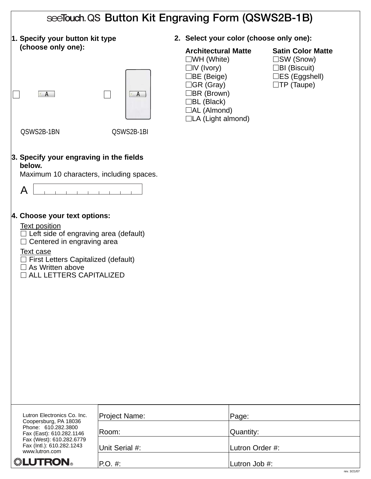|                                                                                                                                                                                                                                                                                                                                                                | see Touch QS Button Kit Engraving Form (QSWS2B-1B) |                                                                                                                                                                                                              |                                                                                                                     |  |  |  |
|----------------------------------------------------------------------------------------------------------------------------------------------------------------------------------------------------------------------------------------------------------------------------------------------------------------------------------------------------------------|----------------------------------------------------|--------------------------------------------------------------------------------------------------------------------------------------------------------------------------------------------------------------|---------------------------------------------------------------------------------------------------------------------|--|--|--|
| 1. Specify your button kit type                                                                                                                                                                                                                                                                                                                                |                                                    | 2. Select your color (choose only one):                                                                                                                                                                      |                                                                                                                     |  |  |  |
| (choose only one):<br>$\cdot$ A                                                                                                                                                                                                                                                                                                                                | $\cdot$ A                                          | <b>Architectural Matte</b><br>$\square$ WH (White)<br>$\Box$ IV (Ivory)<br>$\Box$ BE (Beige)<br>$\Box$ GR (Gray)<br>$\Box$ BR (Brown)<br>$\Box$ BL (Black)<br>$\Box$ AL (Almond)<br>$\Box$ LA (Light almond) | <b>Satin Color Matte</b><br>$\Box$ SW (Snow)<br>$\Box$ BI (Biscuit)<br>$\Box$ ES (Eggshell)<br>$\square$ TP (Taupe) |  |  |  |
| QSWS2B-1BN                                                                                                                                                                                                                                                                                                                                                     | QSWS2B-1BI                                         |                                                                                                                                                                                                              |                                                                                                                     |  |  |  |
| 3. Specify your engraving in the fields<br>below.<br>Maximum 10 characters, including spaces.<br>A<br>4. Choose your text options:<br><b>Text position</b><br>$\Box$ Left side of engraving area (default)<br>$\Box$ Centered in engraving area<br>Text case<br>$\Box$ First Letters Capitalized (default)<br>As Written above<br>ALL LETTERS CAPITALIZED<br>⊔ |                                                    |                                                                                                                                                                                                              |                                                                                                                     |  |  |  |
|                                                                                                                                                                                                                                                                                                                                                                |                                                    |                                                                                                                                                                                                              |                                                                                                                     |  |  |  |
|                                                                                                                                                                                                                                                                                                                                                                |                                                    |                                                                                                                                                                                                              |                                                                                                                     |  |  |  |
| Lutron Electronics Co. Inc.                                                                                                                                                                                                                                                                                                                                    | Project Name:                                      | Page:                                                                                                                                                                                                        |                                                                                                                     |  |  |  |
| Coopersburg, PA 18036<br>Phone: 610.282.3800<br>Fax (East): 610.282.1146                                                                                                                                                                                                                                                                                       | Room:                                              | Quantity:                                                                                                                                                                                                    |                                                                                                                     |  |  |  |
| Fax (West): 610.282.6779<br>Fax (Intl.): 610.282.1243<br>www.lutron.com                                                                                                                                                                                                                                                                                        | Unit Serial #:                                     | Lutron Order #:                                                                                                                                                                                              |                                                                                                                     |  |  |  |
| ▒LUTRON。                                                                                                                                                                                                                                                                                                                                                       | $P.O. \#$                                          | Lutron Job #:                                                                                                                                                                                                |                                                                                                                     |  |  |  |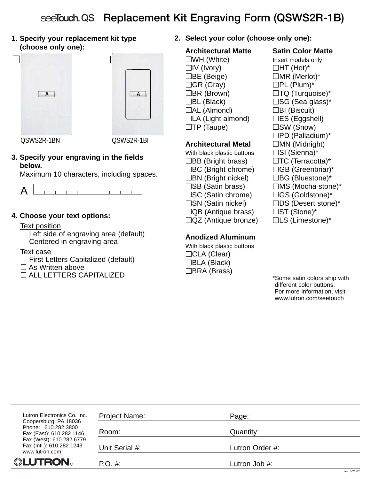|                                                                                                                                                                                                                                                                                                     |                         |                                                                                                                                                                                                                                                                                                                                                                                                                                                                                                                                                                                                    |           | see Touch QS Replacement Kit Engraving Form (QSWS2R-1B)                                                                                                                                                                                                                                                                                                                                                                                                                                       |
|-----------------------------------------------------------------------------------------------------------------------------------------------------------------------------------------------------------------------------------------------------------------------------------------------------|-------------------------|----------------------------------------------------------------------------------------------------------------------------------------------------------------------------------------------------------------------------------------------------------------------------------------------------------------------------------------------------------------------------------------------------------------------------------------------------------------------------------------------------------------------------------------------------------------------------------------------------|-----------|-----------------------------------------------------------------------------------------------------------------------------------------------------------------------------------------------------------------------------------------------------------------------------------------------------------------------------------------------------------------------------------------------------------------------------------------------------------------------------------------------|
| 1. Specify your replacement kit type<br>(choose only one):<br>$\cdot$ A<br>QSWS2R-1BN<br>3. Specify your engraving in the fields<br>below.<br>Maximum 10 characters, including spaces.<br>A<br>4. Choose your text options:<br><b>Text position</b><br>$\Box$ Left side of engraving area (default) | $\cdot$ A<br>QSWS2R-1BI | 2. Select your color (choose only one):<br><b>Architectural Matte</b><br>$\square$ WH (White)<br>$\Box$ IV (Ivory)<br>$\Box$ BE (Beige)<br>$\Box$ GR (Gray)<br>$\Box$ BR (Brown)<br>$\Box$ BL (Black)<br>$\Box$ AL (Almond)<br>$\Box$ LA (Light almond)<br>$\square$ TP (Taupe)<br><b>Architectural Metal</b><br>With black plastic buttons<br>$\Box$ BB (Bright brass)<br>$\Box$ BC (Bright chrome)<br>$\Box$ BN (Bright nickel)<br>□SB (Satin brass)<br>$\square$ SC (Satin chrome)<br>□SN (Satin nickel)<br>$\Box$ QB (Antique brass)<br>$\Box$ QZ (Antique bronze)<br><b>Anodized Aluminum</b> |           | <b>Satin Color Matte</b><br>Insert models only<br>$\Box$ HT (Hot)*<br>$\Box$ MR (Merlot)*<br>$\Box$ PL (Plum)*<br>$\Box$ TQ (Turquoise)*<br>$\square$ SG (Sea glass)*<br>$\Box$ BI (Biscuit)<br>□ES (Eggshell)<br>□SW (Snow)<br>□PD (Palladium)*<br>$\Box$ MN (Midnight)<br>$\square$ SI (Sienna)*<br>$\Box$ TC (Terracotta)*<br>□GB (Greenbriar)*<br>□BG (Bluestone)*<br>$\Box MS$ (Mocha stone)*<br>□GS (Goldstone)*<br>$\Box$ DS (Desert stone)*<br>□ST (Stone)*<br>$\Box$ LS (Limestone)* |
| $\Box$ Centered in engraving area<br><b>Text case</b><br>$\exists$ First Letters Capitalized (default)<br>$\exists$ As Written above<br>$\Box$ ALL LETTERS CAPITALIZED                                                                                                                              |                         | With black plastic buttons<br>□CLA (Clear)<br>$\Box$ BLA (Black)<br>□BRA (Brass)                                                                                                                                                                                                                                                                                                                                                                                                                                                                                                                   |           | *Some satin colors ship with<br>different color buttons.<br>For more information, visit<br>www.lutron.com/seetouch                                                                                                                                                                                                                                                                                                                                                                            |
| Lutron Electronics Co. Inc.<br>Coopersburg, PA 18036                                                                                                                                                                                                                                                | Project Name:           |                                                                                                                                                                                                                                                                                                                                                                                                                                                                                                                                                                                                    | Page:     |                                                                                                                                                                                                                                                                                                                                                                                                                                                                                               |
| Phone: 610.282.3800<br>Fax (East): 610.282.1146<br>Fax (West): 610.282.6779                                                                                                                                                                                                                         | Room:                   |                                                                                                                                                                                                                                                                                                                                                                                                                                                                                                                                                                                                    | Quantity: |                                                                                                                                                                                                                                                                                                                                                                                                                                                                                               |
| Fax (Intl.): 610.282.1243<br>www.lutron.com                                                                                                                                                                                                                                                         | Unit Serial #:          | Lutron Order #:                                                                                                                                                                                                                                                                                                                                                                                                                                                                                                                                                                                    |           |                                                                                                                                                                                                                                                                                                                                                                                                                                                                                               |

P.O. #: <u>Lutron Job #:</u>

*<b><i>* LUTRON。

 $\sqrt{ }$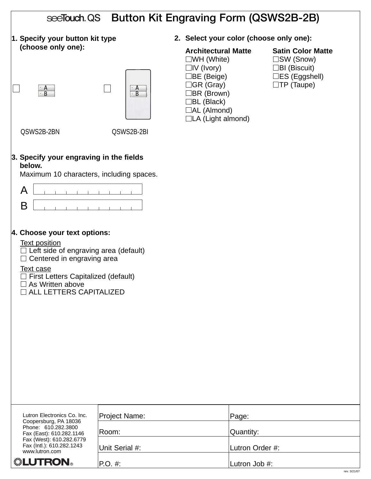| see Touch QS Button Kit Engraving Form (QSWS2B-2B)                                                                                                                                                                                                         |                                         |                                                                                                                                                                                                              |                                                                                                                  |  |  |
|------------------------------------------------------------------------------------------------------------------------------------------------------------------------------------------------------------------------------------------------------------|-----------------------------------------|--------------------------------------------------------------------------------------------------------------------------------------------------------------------------------------------------------------|------------------------------------------------------------------------------------------------------------------|--|--|
| 1. Specify your button kit type                                                                                                                                                                                                                            |                                         | 2. Select your color (choose only one):                                                                                                                                                                      |                                                                                                                  |  |  |
| (choose only one):<br>$\frac{A}{B}$<br>QSWS2B-2BN                                                                                                                                                                                                          | $\mathsf{A}$<br>$\cdot$ B<br>QSWS2B-2BI | <b>Architectural Matte</b><br>$\square$ WH (White)<br>$\Box$ IV (Ivory)<br>$\Box$ BE (Beige)<br>$\Box$ GR (Gray)<br>$\Box$ BR (Brown)<br>$\Box$ BL (Black)<br>$\Box$ AL (Almond)<br>$\Box$ LA (Light almond) | <b>Satin Color Matte</b><br>$\square$ SW (Snow)<br>$\Box$ BI (Biscuit)<br>□ES (Eggshell)<br>$\square$ TP (Taupe) |  |  |
|                                                                                                                                                                                                                                                            |                                         |                                                                                                                                                                                                              |                                                                                                                  |  |  |
| 3. Specify your engraving in the fields<br>below.<br>Maximum 10 characters, including spaces.                                                                                                                                                              |                                         |                                                                                                                                                                                                              |                                                                                                                  |  |  |
| A                                                                                                                                                                                                                                                          |                                         |                                                                                                                                                                                                              |                                                                                                                  |  |  |
| B                                                                                                                                                                                                                                                          |                                         |                                                                                                                                                                                                              |                                                                                                                  |  |  |
| 4. Choose your text options:<br><b>Text position</b><br>$\Box$ Left side of engraving area (default)<br>$\Box$ Centered in engraving area<br>Text case<br>First Letters Capitalized (default)<br>$\Box$ As Written above<br>$\Box$ ALL LETTERS CAPITALIZED |                                         |                                                                                                                                                                                                              |                                                                                                                  |  |  |
| Lutron Electronics Co. Inc.<br>Coopersburg, PA 18036                                                                                                                                                                                                       | Project Name:                           | Page:                                                                                                                                                                                                        |                                                                                                                  |  |  |
| Phone: 610.282.3800<br>Fax (East): 610.282.1146                                                                                                                                                                                                            | Room:                                   | Quantity:                                                                                                                                                                                                    |                                                                                                                  |  |  |
| Fax (West): 610.282.6779<br>Fax (Intl.): 610.282.1243<br>www.lutron.com                                                                                                                                                                                    | Unit Serial #:                          | Lutron Order #:                                                                                                                                                                                              |                                                                                                                  |  |  |
| ▒LUTRON。                                                                                                                                                                                                                                                   | P.O. #:                                 | Lutron Job #:                                                                                                                                                                                                |                                                                                                                  |  |  |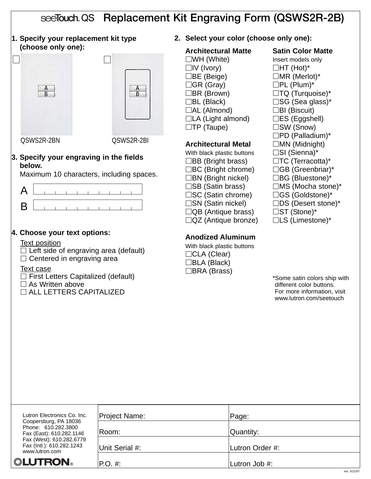# see Touch QS Replacement Kit Engraving Form (QSWS2R-2B)

**1. Specify your replacement kit type (choose only one):**



QSWS2R-2BN QSWS2R-2BI

### **3. Specify your engraving in the fields below.**

Maximum 10 characters, including spaces.



# **4. Choose your text options:**

#### Text position

 $\Box$  Left side of engraving area (default)  $\Box$  Centered in engraving area

#### Text case

 $\Box$  First Letters Capitalized (default)

- $\Box$  As Written above
- $\Box$  ALL LETTERS CAPITALIZED

# **2. Select your color (choose only one):**

#### **Architectural Matte Satin Color Matte**  $\square$ WH (White) **Insert models only**  $\Box$ IV (Ivory)  $\Box$ HT (Hot)\*  $\Box$ BE (Beige)  $\Box$ MR (Merlot)\*  $\Box$ GR (Gray)  $\Box$ PL (Plum)\*  $\Box$ BR (Brown)  $\Box$ TQ (Turquoise)\*  $\Box$ BL (Black)  $\Box$ SG (Sea glass)\*  $\Box$ AL (Almond)  $\Box$ BI (Biscuit)  $\Box$ LA (Light almond)  $\Box$ ES (Eggshell)  $\square$ TP (Taupe)  $\square$ SW (Snow)

# **Architectural Metal MN** (Midnight)

With black plastic buttons  $\square$  SI (Sienna)\*  $\Box$ BB (Bright brass)  $\Box$ TC (Terracotta)\*  $\Box BC$  (Bright chrome)  $\Box GB$  (Greenbriar)\*  $\Box$ BN (Bright nickel)  $\Box$ BG (Bluestone)\*  $\square$ SB (Satin brass)  $\square$ MS (Mocha stone)\* □SC (Satin chrome) □GS (Goldstone)\*  $\square$ SN (Satin nickel)  $\square$ DS (Desert stone)\*  $\Box$ QB (Antique brass)  $\Box$ ST (Stone)\*  $\Box$ QZ (Antique bronze)  $\Box$ LS (Limestone)\*

# **Anodized Aluminum**

With black plastic buttons □CLA (Clear) BLA (Black) □BRA (Brass)

 $\square$ PD (Palladium)\*

| Lutron Electronics Co. Inc.                                              | Project Name:  | Page:           |
|--------------------------------------------------------------------------|----------------|-----------------|
| Coopersburg, PA 18036<br>Phone: 610.282.3800<br>Fax (East): 610.282.1146 | Room:          | Quantity:       |
| Fax (West): 610.282.6779<br>Fax (Intl.): 610.282.1243<br>www.lutron.com  | Unit Serial #: | Lutron Order #: |
| <b>"LUTRON</b>                                                           | $P.O. \#$      | Lutron Job #:   |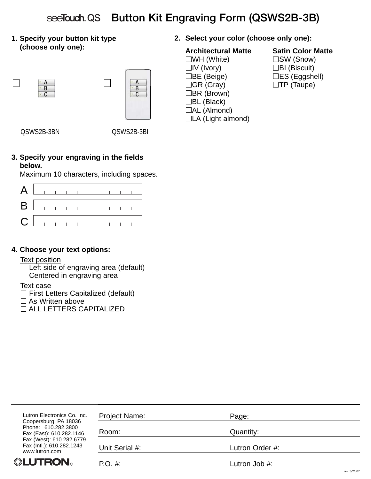| see Touch QS Button Kit Engraving Form (QSWS2B-3B)                                                                                                                                                                                                                     |                                            |                                                                                                                                                                                              |                                                                                                                        |  |  |  |
|------------------------------------------------------------------------------------------------------------------------------------------------------------------------------------------------------------------------------------------------------------------------|--------------------------------------------|----------------------------------------------------------------------------------------------------------------------------------------------------------------------------------------------|------------------------------------------------------------------------------------------------------------------------|--|--|--|
| 1. Specify your button kit type                                                                                                                                                                                                                                        |                                            | 2. Select your color (choose only one):                                                                                                                                                      |                                                                                                                        |  |  |  |
| (choose only one):<br>$\frac{A}{B}$<br>$\cdot c$<br>QSWS2B-3BN                                                                                                                                                                                                         | ÷Α<br>$\cdot$ B<br>$\cdot$ C<br>QSWS2B-3BI | <b>Architectural Matte</b><br>$\square$ WH (White)<br>$\Box$ IV (Ivory)<br>∃BE (Beige) ∶<br>∃GR (Gray)<br>$\Box$ BR (Brown)<br>$\Box$ BL (Black)<br>$\Box$ AL (Almond)<br>□LA (Light almond) | <b>Satin Color Matte</b><br>$\square$ SW (Snow)<br>$\Box$ BI (Biscuit)<br>$\Box$ ES (Eggshell)<br>$\square$ TP (Taupe) |  |  |  |
| 3. Specify your engraving in the fields<br>below.<br>Maximum 10 characters, including spaces.                                                                                                                                                                          |                                            |                                                                                                                                                                                              |                                                                                                                        |  |  |  |
| A<br>B<br>C                                                                                                                                                                                                                                                            |                                            |                                                                                                                                                                                              |                                                                                                                        |  |  |  |
| 4. Choose your text options:<br><b>Text position</b><br>Left side of engraving area (default)<br>Centered in engraving area<br>$\Box$<br><b>Text case</b><br>$\Box$ First Letters Capitalized (default)<br>$\Box$ As Written above<br><b>O ALL LETTERS CAPITALIZED</b> |                                            |                                                                                                                                                                                              |                                                                                                                        |  |  |  |
| Lutron Electronics Co. Inc.<br>Coopersburg, PA 18036                                                                                                                                                                                                                   | <b>Project Name:</b>                       | Page:                                                                                                                                                                                        |                                                                                                                        |  |  |  |
| Phone: 610.282.3800<br>Fax (East): 610.282.1146<br>Fax (West): 610.282.6779                                                                                                                                                                                            | Room:                                      | Quantity:                                                                                                                                                                                    |                                                                                                                        |  |  |  |
| Fax (Intl.): 610.282.1243<br>www.lutron.com                                                                                                                                                                                                                            | Unit Serial #:                             | Lutron Order #:                                                                                                                                                                              |                                                                                                                        |  |  |  |
| <b>. LUTRON</b>                                                                                                                                                                                                                                                        | P.O. #:                                    | Lutron Job #:                                                                                                                                                                                | rev. 3/21/07                                                                                                           |  |  |  |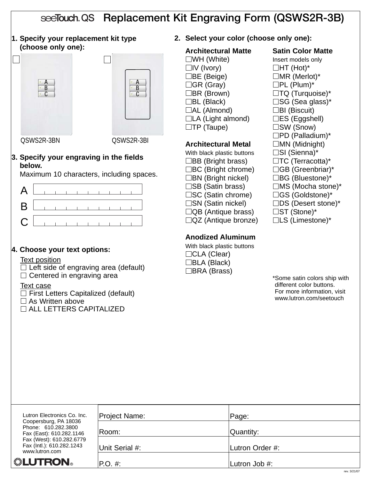# see Touch QS Replacement Kit Engraving Form (QSWS2R-3B)

**1. Specify your replacement kit type (choose only one):**





QSWS2R-3BN QSWS2R-3BI

#### **3. Specify your engraving in the fields below.**

Maximum 10 characters, including spaces.



# **4. Choose your text options:**

#### Text position

 $\Box$  Left side of engraving area (default)  $\Box$  Centered in engraving area

- Text case
- $\Box$  First Letters Capitalized (default)
- $\square$  As Written above
- ALL LETTERS CAPITALIZED

**2. Select your color (choose only one):**

### **Architectural Matte Satin Color Matte**

 $\square$ WH (White) **Insert models only**  $\Box$ IV (Ivory)  $\Box$ HT (Hot)\*  $\Box$ BE (Beige)  $\Box$ MR (Merlot)\*  $\Box$ GR (Gray)  $\Box$ PL (Plum)\*  $\Box$ BR (Brown)  $\Box$ TQ (Turquoise)\*  $\Box$ BL (Black)  $\Box$ SG (Sea glass)\*  $\Box$ AL (Almond)  $\Box$ BI (Biscuit)  $\Box$ LA (Light almond)  $\Box$ ES (Eggshell)

### **Architectural Metal MN** (Midnight)

With black plastic buttons  $\square$  SI (Sienna)\*  $\Box$ BB (Bright brass)  $\Box$ TC (Terracotta)\*  $\Box BC$  (Bright chrome)  $\Box GB$  (Greenbriar)\*  $\Box$ BN (Bright nickel)  $\Box$ BG (Bluestone)\*  $\square$ SB (Satin brass)  $\square$ MS (Mocha stone)\* □SC (Satin chrome) □GS (Goldstone)\*  $\square$ SN (Satin nickel)  $\square$ DS (Desert stone)\*  $\Box$ QB (Antique brass)  $\Box$ ST (Stone)\*  $\Box$ QZ (Antique bronze)  $\Box$ LS (Limestone)\*

# **Anodized Aluminum**

With black plastic buttons □CLA (Clear) BLA (Black) □BRA (Brass)

- $\square$ TP (Taupe)  $\square$ SW (Snow)  $\square$ PD (Palladium)\*
	-

| Lutron Electronics Co. Inc.                                              | Project Name:  | Page:           |
|--------------------------------------------------------------------------|----------------|-----------------|
| Coopersburg, PA 18036<br>Phone: 610.282.3800<br>Fax (East): 610.282.1146 | Room:          | Quantity:       |
| Fax (West): 610.282.6779<br>Fax (Intl.): 610.282.1243<br>www.lutron.com  | Unit Serial #: | Lutron Order #: |
| <b>"LUTRON</b>                                                           | $P.O. \#$      | Lutron Job #:   |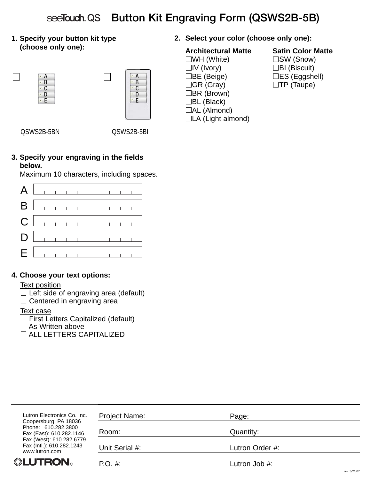| see Touch QS Button Kit Engraving Form (QSWS2B-5B)                                                                                                                                                                                                                                                  |                      |                                                                                                                                                                                            |                                                                                                                        |  |  |  |
|-----------------------------------------------------------------------------------------------------------------------------------------------------------------------------------------------------------------------------------------------------------------------------------------------------|----------------------|--------------------------------------------------------------------------------------------------------------------------------------------------------------------------------------------|------------------------------------------------------------------------------------------------------------------------|--|--|--|
| 1. Specify your button kit type                                                                                                                                                                                                                                                                     |                      | 2. Select your color (choose only one):                                                                                                                                                    |                                                                                                                        |  |  |  |
| (choose only one):<br>A<br>$\overline{B}$<br>$\cdot$ C<br>D                                                                                                                                                                                                                                         | B<br>C<br>⊕ D<br>żЕ. | <b>Architectural Matte</b><br>$\square$ WH (White)<br>$\Box$ IV (Ivory)<br>$\Box$ BE (Beige)<br>∃GR (Gray)<br>∃BR (Brown)<br>□BL (Black)<br>$\Box$ AL (Almond)<br>$\Box$ LA (Light almond) | <b>Satin Color Matte</b><br>$\square$ SW (Snow)<br>$\Box$ BI (Biscuit)<br>$\Box$ ES (Eggshell)<br>$\square$ TP (Taupe) |  |  |  |
| QSWS2B-5BN                                                                                                                                                                                                                                                                                          | QSWS2B-5BI           |                                                                                                                                                                                            |                                                                                                                        |  |  |  |
| 3. Specify your engraving in the fields<br>below.<br>Maximum 10 characters, including spaces.<br>A<br>B<br>C<br>D<br>Е                                                                                                                                                                              |                      |                                                                                                                                                                                            |                                                                                                                        |  |  |  |
| 4. Choose your text options:<br><b>Text position</b><br>$\Box$ Left side of engraving area (default)<br>Centered in engraving area<br>$\mathcal{L}_{\mathcal{A}}$<br><b>Text case</b><br>$\Box$ First Letters Capitalized (default)<br>$\Box$ As Written above<br>$\square$ ALL LETTERS CAPITALIZED |                      |                                                                                                                                                                                            |                                                                                                                        |  |  |  |
| Lutron Electronics Co. Inc.                                                                                                                                                                                                                                                                         | Project Name:        | Page:                                                                                                                                                                                      |                                                                                                                        |  |  |  |
| Coopersburg, PA 18036<br>Phone: 610.282.3800<br>Fax (East): 610.282.1146                                                                                                                                                                                                                            | Room:                | Quantity:                                                                                                                                                                                  |                                                                                                                        |  |  |  |
| Fax (West): 610.282.6779<br>Fax (Intl.): 610.282.1243<br>www.lutron.com                                                                                                                                                                                                                             | Unit Serial #:       | Lutron Order #:                                                                                                                                                                            |                                                                                                                        |  |  |  |
| ▒LUTRON。                                                                                                                                                                                                                                                                                            | $P.O. \#$ :          | Lutron Job #:                                                                                                                                                                              |                                                                                                                        |  |  |  |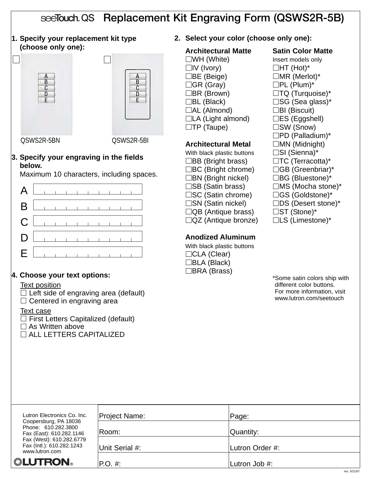# see Touch QS Replacement Kit Engraving Form (QSWS2R-5B)

**1. Specify your replacement kit type (choose only one):**



QSWS2R-5BN QSWS2R-5BI

# **3. Specify your engraving in the fields below.**

Maximum 10 characters, including spaces.

| $A$ $\Box$                          |  |  |  |  |  |
|-------------------------------------|--|--|--|--|--|
|                                     |  |  |  |  |  |
|                                     |  |  |  |  |  |
|                                     |  |  |  |  |  |
| $E$ and $E$ and $E$ and $E$ and $E$ |  |  |  |  |  |

# **4. Choose your text options:**

# Text position

 $\Box$  Left side of engraving area (default)  $\Box$  Centered in engraving area

# Text case

 $\Box$  First Letters Capitalized (default)  $\square$  As Written above ALL LETTERS CAPITALIZED

**2. Select your color (choose only one):**

# **Architectural Matte Satin Color Matte**

 $\square$ WH (White) **Insert models only**  $\Box$ IV (Ivory)  $\Box$ HT (Hot)\*  $\Box$ BE (Beige)  $\Box$ MR (Merlot)\*  $\Box$ GR (Gray)  $\Box$ PL (Plum)\*  $\Box$ BR (Brown)  $\Box$ TQ (Turquoise)\*  $\Box$ BL (Black)  $\Box$ SG (Sea glass)\*  $\Box$ AL (Almond)  $\Box$ BI (Biscuit)  $\Box$ LA (Light almond)  $\Box$ ES (Eggshell)  $\square$ TP (Taupe)  $\square$ SW (Snow)

# **Architectural Metal MN** (Midnight)

With black plastic buttons  $\square$  SI (Sienna)\*  $\Box$ BB (Bright brass)  $\Box$ TC (Terracotta)\*  $\Box BC$  (Bright chrome)  $\Box GB$  (Greenbriar)\*  $\Box$ BN (Bright nickel)  $\Box$ BG (Bluestone)\*  $\square$ SB (Satin brass)  $\square$ MS (Mocha stone)\* □SC (Satin chrome) □GS (Goldstone)\*  $\square$ SN (Satin nickel)  $\square$ DS (Desert stone)\*  $\Box$ QB (Antique brass)  $\Box$ ST (Stone)\*  $\Box$ QZ (Antique bronze)  $\Box$ LS (Limestone)\*

# **Anodized Aluminum**

With black plastic buttons □CLA (Clear) BLA (Black) □BRA (Brass)

 $\square$ PD (Palladium)\*

| Lutron Electronics Co. Inc.                                              | Project Name:  | Page:           |              |
|--------------------------------------------------------------------------|----------------|-----------------|--------------|
| Coopersburg, PA 18036<br>Phone: 610.282.3800<br>Fax (East): 610.282.1146 | ∣Room:         | Quantity:       |              |
| Fax (West): 610.282.6779<br>Fax (Intl.): 610.282.1243<br>www.lutron.com  | Unit Serial #: | Lutron Order #: |              |
| <b><i><b><i></i></b>: LUTRON</i></b>                                     | $ P.O. \#:$    | Lutron Job #:   |              |
|                                                                          |                |                 | rev. 3/21/07 |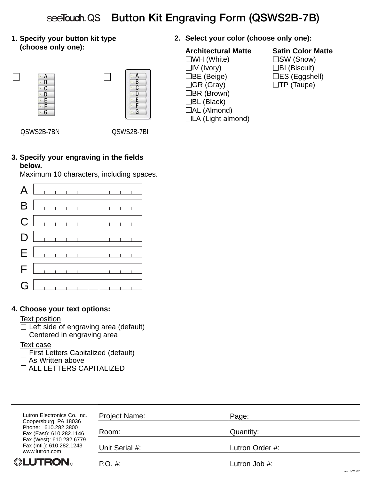| see Touch QS Button Kit Engraving Form (QSWS2B-7B)                                                                                                                                                                                                                |                            |                                                                                                                                                                                                        |                                                                                                               |  |  |
|-------------------------------------------------------------------------------------------------------------------------------------------------------------------------------------------------------------------------------------------------------------------|----------------------------|--------------------------------------------------------------------------------------------------------------------------------------------------------------------------------------------------------|---------------------------------------------------------------------------------------------------------------|--|--|
| 1. Specify your button kit type                                                                                                                                                                                                                                   |                            | 2. Select your color (choose only one):                                                                                                                                                                |                                                                                                               |  |  |
| (choose only one):<br>D                                                                                                                                                                                                                                           | B<br>C<br>D<br>E<br>F<br>G | <b>Architectural Matte</b><br>$\square$ WH (White)<br>$\Box$ IV (Ivory)<br>$\Box$ BE (Beige)<br>$\Box$ GR (Gray)<br>$\Box$ BR (Brown)<br>$\Box$ BL (Black)<br>□AL (Almond)<br>$\Box$ LA (Light almond) | <b>Satin Color Matte</b><br>□SW (Snow)<br>$\Box$ BI (Biscuit)<br>$\Box$ ES (Eggshell)<br>$\square$ TP (Taupe) |  |  |
| QSWS2B-7BN                                                                                                                                                                                                                                                        | QSWS2B-7BI                 |                                                                                                                                                                                                        |                                                                                                               |  |  |
| 3. Specify your engraving in the fields<br>below.<br>Maximum 10 characters, including spaces.                                                                                                                                                                     |                            |                                                                                                                                                                                                        |                                                                                                               |  |  |
| A                                                                                                                                                                                                                                                                 |                            |                                                                                                                                                                                                        |                                                                                                               |  |  |
| B                                                                                                                                                                                                                                                                 |                            |                                                                                                                                                                                                        |                                                                                                               |  |  |
| C                                                                                                                                                                                                                                                                 |                            |                                                                                                                                                                                                        |                                                                                                               |  |  |
| D                                                                                                                                                                                                                                                                 |                            |                                                                                                                                                                                                        |                                                                                                               |  |  |
| Е                                                                                                                                                                                                                                                                 |                            |                                                                                                                                                                                                        |                                                                                                               |  |  |
| F                                                                                                                                                                                                                                                                 |                            |                                                                                                                                                                                                        |                                                                                                               |  |  |
| G                                                                                                                                                                                                                                                                 |                            |                                                                                                                                                                                                        |                                                                                                               |  |  |
| 4. Choose your text options:<br><b>Text position</b><br>$\Box$ Left side of engraving area (default)<br>$\Box$ Centered in engraving area<br>Text case<br>$\Box$ First Letters Capitalized (default)<br>$\Box$ As Written above<br>$\Box$ ALL LETTERS CAPITALIZED |                            |                                                                                                                                                                                                        |                                                                                                               |  |  |
|                                                                                                                                                                                                                                                                   |                            |                                                                                                                                                                                                        |                                                                                                               |  |  |
| Lutron Electronics Co. Inc.<br>Coopersburg, PA 18036<br>Phone: 610.282.3800                                                                                                                                                                                       | Project Name:              | Page:                                                                                                                                                                                                  |                                                                                                               |  |  |
| Fax (East): 610.282.1146<br>Fax (West): 610.282.6779<br>Fax (Intl.): 610.282.1243                                                                                                                                                                                 | Room:                      | Quantity:                                                                                                                                                                                              |                                                                                                               |  |  |
| www.lutron.com<br>▒LUTRON。                                                                                                                                                                                                                                        | Unit Serial #:<br>P.O. #:  | Lutron Order #:<br>Lutron Job #:                                                                                                                                                                       |                                                                                                               |  |  |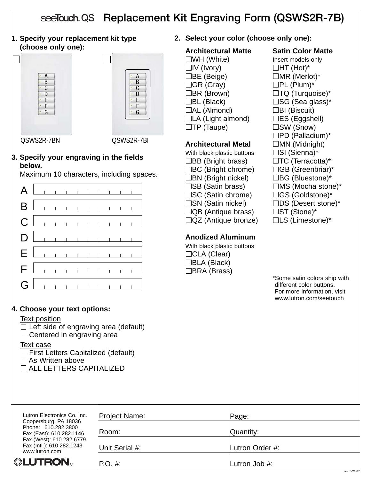# see Touch QS Replacement Kit Engraving Form (QSWS2R-7B)

**1. Specify your replacement kit type (choose only one):**



QSWS2R-7BN QSWS2R-7BI

#### **3. Specify your engraving in the fields below.**

Maximum 10 characters, including spaces.

|  |  |  |  | $D$ $\Box$                                                                                             |
|--|--|--|--|--------------------------------------------------------------------------------------------------------|
|  |  |  |  | $E$ , and $E$ , and $E$                                                                                |
|  |  |  |  | $F$ $\left[\begin{array}{ccc} \begin{array}{ccc} \begin{array}{ccc} \end{array} & \end{array} \right]$ |
|  |  |  |  | $G$ $\left[\begin{array}{ccc} 1 & 1 & 1 & 1 & 1 & 1 & 1 & 1 & 1 \end{array}\right]$                    |

# **2. Select your color (choose only one):**

#### **Architectural Matte Satin Color Matte**  $\square$ WH (White) **Insert models only**  $\Box$ IV (Ivory)  $\Box$ HT (Hot)\*  $\Box$ BE (Beige)  $\Box$ MR (Merlot)\*  $\Box$ GR (Gray)  $\Box$ PL (Plum)\*  $\Box$ BR (Brown)  $\Box$ TQ (Turquoise)\*  $\Box$ BL (Black)  $\Box$ SG (Sea glass)\*  $\Box$ AL (Almond)  $\Box$ BI (Biscuit)  $\Box$ LA (Light almond)  $\Box$ ES (Eggshell)  $\square$ TP (Taupe)  $\square$ SW (Snow)

# **Architectural Metal MN** (Midnight)

With black plastic buttons  $\square$  SI (Sienna)\*  $\Box$ BB (Bright brass)  $\Box$ TC (Terracotta)\*  $\Box BC$  (Bright chrome)  $\Box GB$  (Greenbriar)\*  $\Box$ BN (Bright nickel)  $\Box$ BG (Bluestone)\*  $\square$ SB (Satin brass)  $\square$ MS (Mocha stone)\* □SC (Satin chrome) □GS (Goldstone)\*  $\square$ SN (Satin nickel)  $\square$ DS (Desert stone)\*  $\Box$ QB (Antique brass)  $\Box$ ST (Stone)\*  $\Box$ QZ (Antique bronze)  $\Box$ LS (Limestone)\*

# **Anodized Aluminum**

With black plastic buttons □CLA (Clear) BLA (Black) □BRA (Brass)

 $\square$ PD (Palladium)\*

\*Some satin colors ship with different color buttons. For more information, visit www.lutron.com/seetouch

# **4. Choose your text options:**

#### Text position

 $\Box$  Left side of engraving area (default)  $\Box$  Centered in engraving area

Text case  $\Box$  First Letters Capitalized (default)

 $\Box$  As Written above

ALL LETTERS CAPITALIZED

| Lutron Electronics Co. Inc.                                              | Project Name:  | Page:           |
|--------------------------------------------------------------------------|----------------|-----------------|
| Coopersburg, PA 18036<br>Phone: 610.282.3800<br>Fax (East): 610.282.1146 | ∣Room:         | Quantity:       |
| Fax (West): 610.282.6779<br>Fax (Intl.): 610.282.1243<br>www.lutron.com  | Unit Serial #: | Lutron Order #: |
| <b>. LUTRON</b>                                                          | $ P.O. \#:$    | Lutron Job #:   |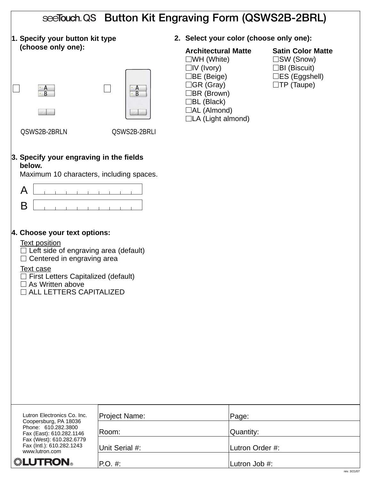| see Touch QS Button Kit Engraving Form (QSWS2B-2BRL)                                                                                                                                                                                                           |                                                |                                                                                                                                                                                                              |                                                                                                                        |  |  |
|----------------------------------------------------------------------------------------------------------------------------------------------------------------------------------------------------------------------------------------------------------------|------------------------------------------------|--------------------------------------------------------------------------------------------------------------------------------------------------------------------------------------------------------------|------------------------------------------------------------------------------------------------------------------------|--|--|
| 1. Specify your button kit type                                                                                                                                                                                                                                |                                                | 2. Select your color (choose only one):                                                                                                                                                                      |                                                                                                                        |  |  |
| (choose only one):<br>$\frac{A}{R}$<br>QSWS2B-2BRLN                                                                                                                                                                                                            | $\mathsf{A}$<br>$\overline{B}$<br>QSWS2B-2BRLI | <b>Architectural Matte</b><br>$\square$ WH (White)<br>$\Box$ IV (Ivory)<br>$\Box$ BE (Beige)<br>$\Box$ GR (Gray)<br>$\Box$ BR (Brown)<br>$\Box$ BL (Black)<br>$\Box$ AL (Almond)<br>$\Box$ LA (Light almond) | <b>Satin Color Matte</b><br>$\square$ SW (Snow)<br>$\Box$ BI (Biscuit)<br>$\Box$ ES (Eggshell)<br>$\square$ TP (Taupe) |  |  |
| 3. Specify your engraving in the fields<br>below.<br>Maximum 10 characters, including spaces.                                                                                                                                                                  |                                                |                                                                                                                                                                                                              |                                                                                                                        |  |  |
| A                                                                                                                                                                                                                                                              |                                                |                                                                                                                                                                                                              |                                                                                                                        |  |  |
| B                                                                                                                                                                                                                                                              |                                                |                                                                                                                                                                                                              |                                                                                                                        |  |  |
|                                                                                                                                                                                                                                                                |                                                |                                                                                                                                                                                                              |                                                                                                                        |  |  |
| 4. Choose your text options:<br><b>Text position</b><br>Left side of engraving area (default)<br>Centered in engraving area<br>$\Box$<br><b>Text case</b><br>First Letters Capitalized (default)<br>$\Box$ As Written above<br><b>NALL LETTERS CAPITALIZED</b> |                                                |                                                                                                                                                                                                              |                                                                                                                        |  |  |
| Lutron Electronics Co. Inc.                                                                                                                                                                                                                                    | Project Name:                                  | Page:                                                                                                                                                                                                        |                                                                                                                        |  |  |
| Coopersburg, PA 18036<br>Phone: 610.282.3800<br>Fax (East): 610.282.1146                                                                                                                                                                                       | Room:                                          | Quantity:                                                                                                                                                                                                    |                                                                                                                        |  |  |
| Fax (West): 610.282.6779<br>Fax (Intl.): 610.282.1243<br>www.lutron.com                                                                                                                                                                                        | Unit Serial #:                                 | Lutron Order #:                                                                                                                                                                                              |                                                                                                                        |  |  |
| ▒LUTRON。                                                                                                                                                                                                                                                       | P.O. #:                                        | Lutron Job #:                                                                                                                                                                                                |                                                                                                                        |  |  |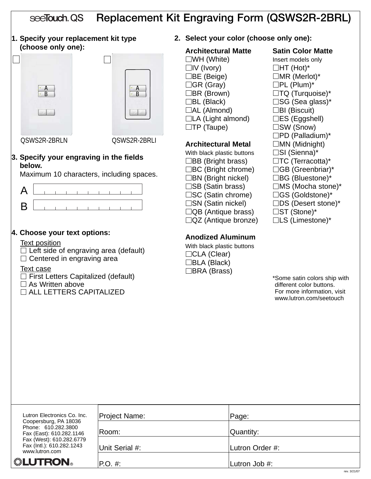#### Replacement Kit Engraving Form (QSWS2R-2BRL) seeTouch, QS

**1. Specify your replacement kit type (choose only one):**





QSWS2R-2BRLN QSWS2R-2BRLI

#### **3. Specify your engraving in the fields below.**

Maximum 10 characters, including spaces.



# **4. Choose your text options:**

#### Text position

 $\Box$  Left side of engraving area (default)  $\Box$  Centered in engraving area

#### Text case

 $\Box$  First Letters Capitalized (default)

- $\Box$  As Written above
- $\Box$  ALL LETTERS CAPITALIZED

#### **2. Select your color (choose only one):**

# **Architectural Matte Satin Color Matte**

 $\square$ WH (White) **Insert models only**  $\Box$ IV (Ivory)  $\Box$ HT (Hot)\*  $\Box$ BE (Beige)  $\Box$ MR (Merlot)\*  $\Box$ GR (Gray)  $\Box$ PL (Plum)\*  $\Box$ BR (Brown)  $\Box$ TQ (Turquoise)\*  $\Box$ BL (Black)  $\Box$ SG (Sea glass)\*  $\Box$ AL (Almond)  $\Box$ BI (Biscuit)  $\Box$ LA (Light almond)  $\Box$ ES (Eggshell)  $\square$ TP (Taupe)  $\square$ SW (Snow)

#### **Architectural Metal** □ MN (Midnight)

With black plastic buttons  $\square$  SI (Sienna)\*  $\Box$ BB (Bright brass)  $\Box$ TC (Terracotta)\*  $\Box BC$  (Bright chrome)  $\Box GB$  (Greenbriar)\*  $\Box$ BN (Bright nickel)  $\Box$ BG (Bluestone)\*  $\square$ SB (Satin brass)  $\square$ MS (Mocha stone)\* □SC (Satin chrome) □GS (Goldstone)\*  $\square$ SN (Satin nickel)  $\square$ DS (Desert stone)\*  $\Box$ QB (Antique brass)  $\Box$ ST (Stone)\*  $\Box$ QZ (Antique bronze)  $\Box$ LS (Limestone)\*

# **Anodized Aluminum**

With black plastic buttons □CLA (Clear) BLA (Black) □BRA (Brass)

 $\square$ PD (Palladium)\*

| Lutron Electronics Co. Inc.                                              | <b>Project Name:</b> | Page:           |
|--------------------------------------------------------------------------|----------------------|-----------------|
| Coopersburg, PA 18036<br>Phone: 610.282.3800<br>Fax (East): 610.282.1146 | Room:                | Quantity:       |
| Fax (West): 610.282.6779<br>Fax (Intl.): 610.282.1243<br>www.lutron.com  | Unit Serial #:       | Lutron Order #: |
| <b>. LUTRON</b>                                                          | $P.O. \#$            | Lutron Job #:   |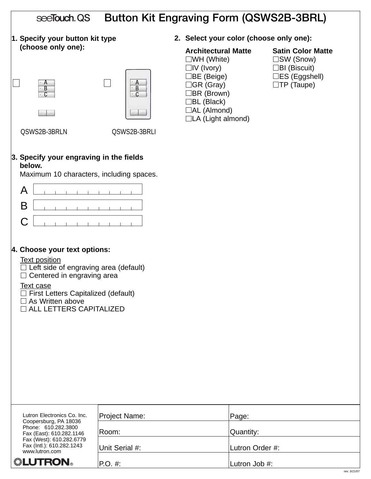| seeTouch QS<br><b>Button Kit Engraving Form (QSWS2B-3BRL)</b>                                                                                                                                                                                       |                               |                                                                                                                                                                                            |                                                                                                                        |  |  |  |
|-----------------------------------------------------------------------------------------------------------------------------------------------------------------------------------------------------------------------------------------------------|-------------------------------|--------------------------------------------------------------------------------------------------------------------------------------------------------------------------------------------|------------------------------------------------------------------------------------------------------------------------|--|--|--|
| 1. Specify your button kit type                                                                                                                                                                                                                     |                               | 2. Select your color (choose only one):                                                                                                                                                    |                                                                                                                        |  |  |  |
| (choose only one):<br>$\overline{B}$<br>$\overline{C}$<br>QSWS2B-3BRLN                                                                                                                                                                              | B<br>$\Gamma$<br>QSWS2B-3BRLI | <b>Architectural Matte</b><br>$\square$ WH (White)<br>$\Box$ IV (Ivory)<br>□BE (Beige)<br>□GR (Gray)<br>$\Box$ BR (Brown)<br>$\Box$ BL (Black)<br>$\Box$ AL (Almond)<br>□LA (Light almond) | <b>Satin Color Matte</b><br>$\square$ SW (Snow)<br>$\Box$ BI (Biscuit)<br>$\Box$ ES (Eggshell)<br>$\square$ TP (Taupe) |  |  |  |
| 3. Specify your engraving in the fields<br>below.<br>Maximum 10 characters, including spaces.                                                                                                                                                       |                               |                                                                                                                                                                                            |                                                                                                                        |  |  |  |
| A<br>B<br>C                                                                                                                                                                                                                                         |                               |                                                                                                                                                                                            |                                                                                                                        |  |  |  |
| 4. Choose your text options:<br><b>Text position</b><br>Left side of engraving area (default)<br>Centered in engraving area<br><b>Text case</b><br>First Letters Capitalized (default)<br>$\Box$ As Written above<br>$\Box$ ALL LETTERS CAPITALIZED |                               |                                                                                                                                                                                            |                                                                                                                        |  |  |  |
| Lutron Electronics Co. Inc.<br>Coopersburg, PA 18036                                                                                                                                                                                                | Project Name:                 | Page:                                                                                                                                                                                      |                                                                                                                        |  |  |  |
| Phone: 610.282.3800<br>Fax (East): 610.282.1146<br>Fax (West): 610.282.6779                                                                                                                                                                         | Room:                         | Quantity:                                                                                                                                                                                  |                                                                                                                        |  |  |  |
| Fax (Intl.): 610.282.1243<br>www.lutron.com                                                                                                                                                                                                         | Unit Serial #:                |                                                                                                                                                                                            | Lutron Order #:                                                                                                        |  |  |  |
| <b>. LUTRON</b>                                                                                                                                                                                                                                     | P.O. #:                       | Lutron Job #:                                                                                                                                                                              | rev. 3/21/07                                                                                                           |  |  |  |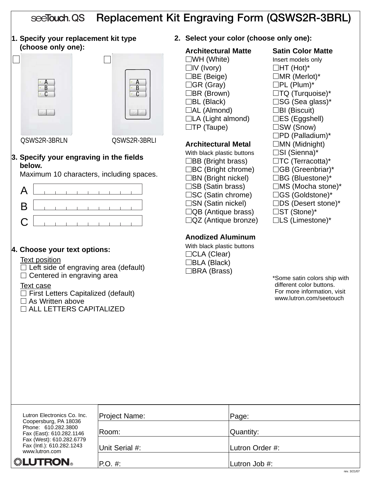#### Replacement Kit Engraving Form (QSWS2R-3BRL) seeTouch QS

**1. Specify your replacement kit type (choose only one):**





QSWS2R-3BRLN QSWS2R-3BRLI

#### **3. Specify your engraving in the fields below.**

Maximum 10 characters, including spaces.



# **4. Choose your text options:**

#### Text position

 $\Box$  Left side of engraving area (default)  $\Box$  Centered in engraving area

- Text case
- $\Box$  First Letters Capitalized (default)
- $\square$  As Written above
- ALL LETTERS CAPITALIZED

**2. Select your color (choose only one):**

# **Architectural Matte Satin Color Matte**

 $\square$ WH (White) **Insert models only**  $\Box$ IV (Ivory)  $\Box$ HT (Hot)\*  $\Box$ BE (Beige)  $\Box$ MR (Merlot)\*  $\Box$ GR (Gray)  $\Box$ PL (Plum)\*  $\Box$ BR (Brown)  $\Box$ TQ (Turquoise)\*  $\Box$ BL (Black)  $\Box$ SG (Sea glass)\*  $\Box$ AL (Almond)  $\Box$ BI (Biscuit)  $\Box$ LA (Light almond)  $\Box$ ES (Eggshell)  $\square$ TP (Taupe)  $\square$ SW (Snow)

# **Architectural Metal** □ MN (Midnight)

With black plastic buttons  $\square$  SI (Sienna)\*  $\Box$ BB (Bright brass)  $\Box$ TC (Terracotta)\*  $\Box BC$  (Bright chrome)  $\Box GB$  (Greenbriar)\*  $\Box$ BN (Bright nickel)  $\Box$ BG (Bluestone)\*  $\square$ SB (Satin brass)  $\square$ MS (Mocha stone)\* □SC (Satin chrome) □GS (Goldstone)\*  $\square$ SN (Satin nickel)  $\square$ DS (Desert stone)\*  $\Box$ QB (Antique brass)  $\Box$ ST (Stone)\*  $\Box$ QZ (Antique bronze)  $\Box$ LS (Limestone)\*

# **Anodized Aluminum**

With black plastic buttons □CLA (Clear) BLA (Black) □BRA (Brass)

 $\square$ PD (Palladium)\*

| Lutron Electronics Co. Inc.                                              | Project Name:  | Page:           |
|--------------------------------------------------------------------------|----------------|-----------------|
| Coopersburg, PA 18036<br>Phone: 610.282.3800<br>Fax (East): 610.282.1146 | Room:          | Quantity:       |
| Fax (West): 610.282.6779<br>Fax (Intl.): 610.282.1243<br>www.lutron.com  | Unit Serial #: | Lutron Order #: |
| <b>"LUTRON</b>                                                           | $P.O. \#$      | Lutron Job #:   |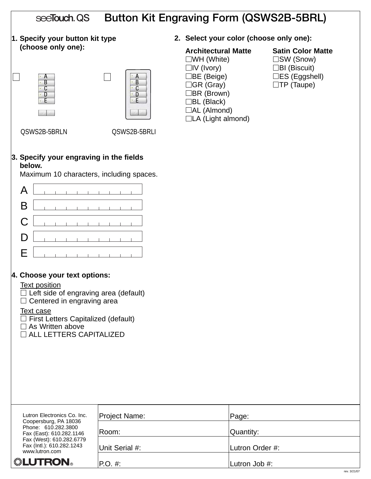| <b>Button Kit Engraving Form (QSWS2B-5BRL)</b><br>see <b>Touch</b> QS                                                                                                                                                                                             |                                               |                                                                                                                                                                                                              |                                                                                                                           |  |  |
|-------------------------------------------------------------------------------------------------------------------------------------------------------------------------------------------------------------------------------------------------------------------|-----------------------------------------------|--------------------------------------------------------------------------------------------------------------------------------------------------------------------------------------------------------------|---------------------------------------------------------------------------------------------------------------------------|--|--|
| 1. Specify your button kit type<br>2. Select your color (choose only one):                                                                                                                                                                                        |                                               |                                                                                                                                                                                                              |                                                                                                                           |  |  |
| (choose only one):<br>A<br>B<br>C<br>D<br>QSWS2B-5BRLN                                                                                                                                                                                                            | А<br>B<br>C<br>D<br>$\cdot$ .<br>QSWS2B-5BRLI | <b>Architectural Matte</b><br>$\square$ WH (White)<br>$\Box$ IV (Ivory)<br>$\Box$ BE (Beige)<br>$\Box$ GR (Gray)<br>$\Box$ BR (Brown)<br>$\Box$ BL (Black)<br>$\Box$ AL (Almond)<br>$\Box$ LA (Light almond) | <b>Satin Color Matte</b><br>$\square$ SW (Snow)<br>$\Box$ BI (Biscuit)<br>$\square$ ES (Eggshell)<br>$\square$ TP (Taupe) |  |  |
| 3. Specify your engraving in the fields<br>below.<br>Maximum 10 characters, including spaces.                                                                                                                                                                     |                                               |                                                                                                                                                                                                              |                                                                                                                           |  |  |
| A                                                                                                                                                                                                                                                                 |                                               |                                                                                                                                                                                                              |                                                                                                                           |  |  |
| B<br>C                                                                                                                                                                                                                                                            |                                               |                                                                                                                                                                                                              |                                                                                                                           |  |  |
| D                                                                                                                                                                                                                                                                 |                                               |                                                                                                                                                                                                              |                                                                                                                           |  |  |
| Е                                                                                                                                                                                                                                                                 |                                               |                                                                                                                                                                                                              |                                                                                                                           |  |  |
| 4. Choose your text options:<br><b>Text position</b><br>$\Box$ Left side of engraving area (default)<br>$\Box$ Centered in engraving area<br><b>Text case</b><br>$\Box$ First Letters Capitalized (default)<br>$\Box$ As Written above<br>ALL LETTERS CAPITALIZED |                                               |                                                                                                                                                                                                              |                                                                                                                           |  |  |
| Lutron Electronics Co. Inc.<br>Coopersburg, PA 18036<br>Phone: 610.282.3800                                                                                                                                                                                       | Project Name:                                 | Page:                                                                                                                                                                                                        |                                                                                                                           |  |  |
| Fax (East): 610.282.1146<br>Fax (West): 610.282.6779<br>Fax (Intl.): 610.282.1243                                                                                                                                                                                 | Room:<br>Unit Serial #:                       | Quantity:<br>Lutron Order #:                                                                                                                                                                                 |                                                                                                                           |  |  |
| www.lutron.com<br>▒LUTRON。                                                                                                                                                                                                                                        | P.O. #:                                       | Lutron Job #:                                                                                                                                                                                                |                                                                                                                           |  |  |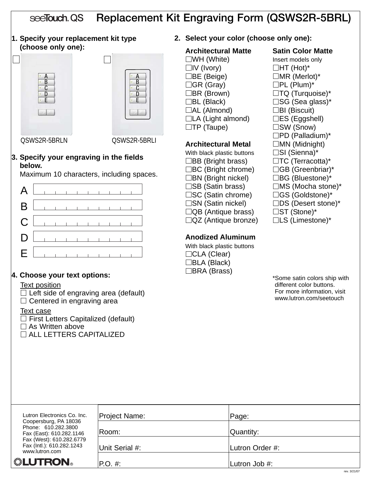#### Replacement Kit Engraving Form (QSWS2R-5BRL) seeTouch, QS

**1. Specify your replacement kit type (choose only one):**





QSWS2R-5BRLN QSWS2R-5BRLI

#### **3. Specify your engraving in the fields below.**

Maximum 10 characters, including spaces.

|  |  |  |  |  | $A$ $\Box$                          |
|--|--|--|--|--|-------------------------------------|
|  |  |  |  |  |                                     |
|  |  |  |  |  |                                     |
|  |  |  |  |  | $D$                                 |
|  |  |  |  |  | $E$ and $E$ and $E$ and $E$ and $E$ |

# **4. Choose your text options:**

#### Text position

 $\Box$  Left side of engraving area (default)  $\Box$  Centered in engraving area

#### Text case

 $\Box$  First Letters Capitalized (default)  $\square$  As Written above ALL LETTERS CAPITALIZED

**2. Select your color (choose only one):**

#### **Architectural Matte Satin Color Matte**

 $\square$ WH (White) **Insert models only**  $\Box$ IV (Ivory)  $\Box$ HT (Hot)\*  $\Box$ BE (Beige)  $\Box$ MR (Merlot)\*  $\Box$ GR (Gray)  $\Box$ PL (Plum)\*  $\Box$ BR (Brown)  $\Box$ TQ (Turquoise)\*  $\Box$ BL (Black)  $\Box$ SG (Sea glass)\*  $\Box$ AL (Almond)  $\Box$ BI (Biscuit)  $\Box$ LA (Light almond)  $\Box$ ES (Eggshell)  $\square$ TP (Taupe)  $\square$ SW (Snow)

### **Architectural Metal MN** (Midnight)

With black plastic buttons  $\square$  SI (Sienna)\*  $\Box$ BB (Bright brass)  $\Box$ TC (Terracotta)\*  $\Box BC$  (Bright chrome)  $\Box GB$  (Greenbriar)\*  $\Box$ BN (Bright nickel)  $\Box$ BG (Bluestone)\*  $\square$ SB (Satin brass)  $\square$ MS (Mocha stone)\* □SC (Satin chrome) □GS (Goldstone)\*  $\square$ SN (Satin nickel)  $\square$ DS (Desert stone)\*  $\Box$ QB (Antique brass)  $\Box$ ST (Stone)\*  $\Box$ QZ (Antique bronze)  $\Box$ LS (Limestone)\*

# **Anodized Aluminum**

With black plastic buttons □CLA (Clear) BLA (Black) □BRA (Brass)

 $\square$ PD (Palladium)\*

| Lutron Electronics Co. Inc.                                              | <b>Project Name:</b> | Page:           |
|--------------------------------------------------------------------------|----------------------|-----------------|
| Coopersburg, PA 18036<br>Phone: 610.282.3800<br>Fax (East): 610.282.1146 | Room:                | Quantity:       |
| Fax (West): 610.282.6779<br>Fax (Intl.): 610.282.1243<br>www.lutron.com  | Unit Serial #:       | Lutron Order #: |
| <b>. LUTRON</b>                                                          | $P.O. \#$            | Lutron Job #:   |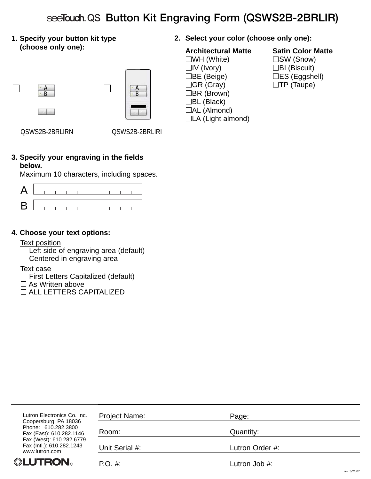| see Touch QS Button Kit Engraving Form (QSWS2B-2BRLIR)                                                                                                                                                                                                            |                                                                           |                                                                                                                                                                                                          |                                                                                                                     |  |
|-------------------------------------------------------------------------------------------------------------------------------------------------------------------------------------------------------------------------------------------------------------------|---------------------------------------------------------------------------|----------------------------------------------------------------------------------------------------------------------------------------------------------------------------------------------------------|---------------------------------------------------------------------------------------------------------------------|--|
| 1. Specify your button kit type                                                                                                                                                                                                                                   |                                                                           | 2. Select your color (choose only one):                                                                                                                                                                  |                                                                                                                     |  |
| (choose only one):<br>$\overline{A}$<br>QSWS2B-2BRLIRN                                                                                                                                                                                                            | $\cdot$ A<br>$\cdot$ B<br>QSWS2B-2BRLIRI                                  | <b>Architectural Matte</b><br>$\square$ WH (White)<br>$\Box$ IV (Ivory)<br>コBE (Beige) ∶<br>$\Box$ GR (Gray)<br>$\Box$ BR (Brown)<br>$\Box$ BL (Black)<br>$\Box$ AL (Almond)<br>$\Box$ LA (Light almond) | <b>Satin Color Matte</b><br>$\Box$ SW (Snow)<br>$\Box$ BI (Biscuit)<br>$\Box$ ES (Eggshell)<br>$\square$ TP (Taupe) |  |
| 3. Specify your engraving in the fields<br>below.<br>Maximum 10 characters, including spaces.                                                                                                                                                                     |                                                                           |                                                                                                                                                                                                          |                                                                                                                     |  |
| A                                                                                                                                                                                                                                                                 |                                                                           |                                                                                                                                                                                                          |                                                                                                                     |  |
| B                                                                                                                                                                                                                                                                 | $\begin{array}{cccccccccccccc} 1 & 1 & 1 & 1 & 1 & 1 & 1 & 1 \end{array}$ |                                                                                                                                                                                                          |                                                                                                                     |  |
| 4. Choose your text options:<br><b>Text position</b><br>$\Box$ Left side of engraving area (default)<br>$\Box$ Centered in engraving area<br>Text case<br>$\Box$ First Letters Capitalized (default)<br>$\Box$ As Written above<br>$\Box$ ALL LETTERS CAPITALIZED |                                                                           |                                                                                                                                                                                                          |                                                                                                                     |  |
| Lutron Electronics Co. Inc.<br>Coopersburg, PA 18036                                                                                                                                                                                                              | Project Name:                                                             |                                                                                                                                                                                                          | Page:                                                                                                               |  |
| Phone: 610.282.3800<br>Fax (East): 610.282.1146<br>Fax (West): 610.282.6779                                                                                                                                                                                       | Room:                                                                     |                                                                                                                                                                                                          | Quantity:                                                                                                           |  |
| Fax (Intl.): 610.282.1243<br>www.lutron.com                                                                                                                                                                                                                       | Unit Serial #:                                                            |                                                                                                                                                                                                          | Lutron Order #:                                                                                                     |  |
| ▒LUTRON。                                                                                                                                                                                                                                                          | $P.O. \#$                                                                 |                                                                                                                                                                                                          | Lutron Job #:                                                                                                       |  |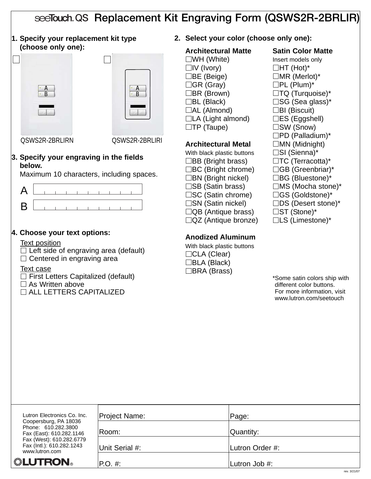# see Touch QS Replacement Kit Engraving Form (QSWS2R-2BRLIR)

**1. Specify your replacement kit type (choose only one):**





QSWS2R-2BRLIRN QSWS2R-2BRLIRI

#### **3. Specify your engraving in the fields below.**

Maximum 10 characters, including spaces.



# **4. Choose your text options:**

#### Text position

 $\Box$  Left side of engraving area (default)  $\Box$  Centered in engraving area

#### Text case

 $\Box$  First Letters Capitalized (default)

- $\Box$  As Written above
- $\Box$  ALL LETTERS CAPITALIZED

#### **2. Select your color (choose only one):**

#### **Architectural Matte Satin Color Matte**

 $\square$ WH (White) **Insert models only**  $\Box$ IV (Ivory)  $\Box$ HT (Hot)\*  $\Box$ BE (Beige)  $\Box$ MR (Merlot)\*  $\Box$ GR (Gray)  $\Box$ PL (Plum)\*  $\Box$ BR (Brown)  $\Box$ TQ (Turquoise)\*  $\Box$ BL (Black)  $\Box$ SG (Sea glass)\*  $\Box$ AL (Almond)  $\Box$ BI (Biscuit)  $\Box$ LA (Light almond)  $\Box$ ES (Eggshell)  $\square$ TP (Taupe)  $\square$ SW (Snow)

### **Architectural Metal** □ MN (Midnight)

With black plastic buttons  $\square$  SI (Sienna)\*  $\Box$ BB (Bright brass)  $\Box$ TC (Terracotta)\*  $\Box BC$  (Bright chrome)  $\Box GB$  (Greenbriar)\*  $\Box$ BN (Bright nickel)  $\Box$ BG (Bluestone)\*  $\square$ SB (Satin brass)  $\square$ MS (Mocha stone)\* □SC (Satin chrome) □GS (Goldstone)\*  $\square$ SN (Satin nickel)  $\square$ DS (Desert stone)\*  $\Box$ QB (Antique brass)  $\Box$ ST (Stone)\*  $\Box$ QZ (Antique bronze)  $\Box$ LS (Limestone)\*

# **Anodized Aluminum**

With black plastic buttons □CLA (Clear) BLA (Black) □BRA (Brass)

 $\square$ PD (Palladium)\*

| Lutron Electronics Co. Inc.                                              | <b>Project Name:</b> | Page:           |
|--------------------------------------------------------------------------|----------------------|-----------------|
| Coopersburg, PA 18036<br>Phone: 610.282.3800<br>Fax (East): 610.282.1146 | Room:                | Quantity:       |
| Fax (West): 610.282.6779<br>Fax (Intl.): 610.282.1243<br>www.lutron.com  | Unit Serial #:       | Lutron Order #: |
| <b> LUTRON</b>                                                           | $ P.O. \#:$          | Lutron Job #:   |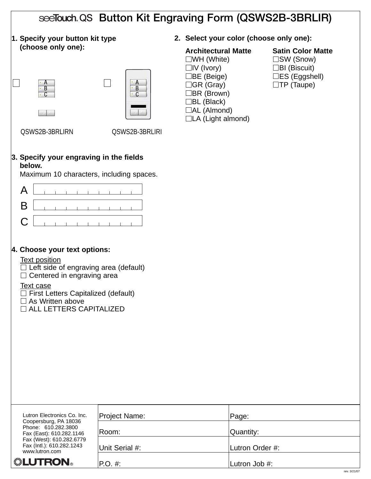| seeTouch QS Button Kit Engraving Form (QSWS2B-3BRLIR)                                                                                                                                                                                                                   |                          |                                                                                                                                                                                                        |                                                                                                               |  |  |  |
|-------------------------------------------------------------------------------------------------------------------------------------------------------------------------------------------------------------------------------------------------------------------------|--------------------------|--------------------------------------------------------------------------------------------------------------------------------------------------------------------------------------------------------|---------------------------------------------------------------------------------------------------------------|--|--|--|
| 1. Specify your button kit type                                                                                                                                                                                                                                         |                          | 2. Select your color (choose only one):                                                                                                                                                                |                                                                                                               |  |  |  |
| (choose only one):<br>$\cdot$ B<br>$\overline{C}$<br>QSWS2B-3BRLIRN                                                                                                                                                                                                     | B<br>C<br>QSWS2B-3BRLIRI | <b>Architectural Matte</b><br>$\square$ WH (White)<br>$\Box$ IV (Ivory)<br>$\Box$ BE (Beige)<br>□GR (Gray)<br>$\Box$ BR (Brown)<br>$\Box$ BL (Black)<br>$\Box$ AL (Almond)<br>$\Box$ LA (Light almond) | <b>Satin Color Matte</b><br>□SW (Snow)<br>$\Box$ BI (Biscuit)<br>$\Box$ ES (Eggshell)<br>$\square$ TP (Taupe) |  |  |  |
| 3. Specify your engraving in the fields<br>below.<br>Maximum 10 characters, including spaces.                                                                                                                                                                           |                          |                                                                                                                                                                                                        |                                                                                                               |  |  |  |
| A<br>B<br>C                                                                                                                                                                                                                                                             |                          |                                                                                                                                                                                                        |                                                                                                               |  |  |  |
| 4. Choose your text options:<br><b>Text position</b><br>Left side of engraving area (default)<br>Centered in engraving area<br>$\Box$<br><b>Text case</b><br>$\exists$ First Letters Capitalized (default)<br>$\Box$ As Written above<br>$\Box$ ALL LETTERS CAPITALIZED |                          |                                                                                                                                                                                                        |                                                                                                               |  |  |  |
| Lutron Electronics Co. Inc.<br>Coopersburg, PA 18036                                                                                                                                                                                                                    | Project Name:            | Page:                                                                                                                                                                                                  |                                                                                                               |  |  |  |
| Phone: 610.282.3800<br>Fax (East): 610.282.1146<br>Fax (West): 610.282.6779                                                                                                                                                                                             | Room:                    | Quantity:                                                                                                                                                                                              |                                                                                                               |  |  |  |
| Fax (Intl.): 610.282.1243<br>www.lutron.com                                                                                                                                                                                                                             | Unit Serial #:           | Lutron Order #:                                                                                                                                                                                        |                                                                                                               |  |  |  |
| ▒LUTRON。                                                                                                                                                                                                                                                                | $P.O. \#$ :              | Lutron Job #:                                                                                                                                                                                          | rev. 3/21/07                                                                                                  |  |  |  |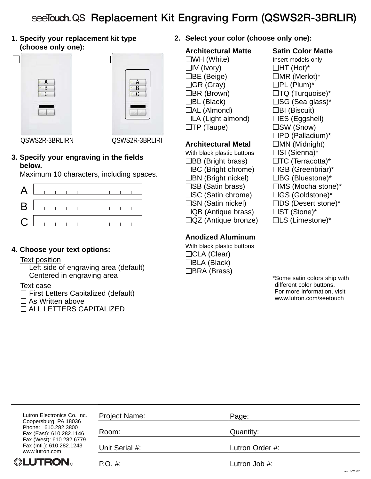# see Touch QS Replacement Kit Engraving Form (QSWS2R-3BRLIR)

**1. Specify your replacement kit type (choose only one):**





QSWS2R-3BRLIRN QSWS2R-3BRLIRI

#### **3. Specify your engraving in the fields below.**

Maximum 10 characters, including spaces.



# **4. Choose your text options:**

#### Text position

 $\Box$  Left side of engraving area (default)

 $\Box$  Centered in engraving area

#### Text case

- $\Box$  First Letters Capitalized (default)
- $\square$  As Written above
- ALL LETTERS CAPITALIZED

**2. Select your color (choose only one):**

#### **Architectural Matte Satin Color Matte**

 $\square$ WH (White) **Insert models only**  $\Box$ IV (Ivory)  $\Box$ HT (Hot)\*  $\Box$ BE (Beige)  $\Box$ MR (Merlot)\*  $\Box$ GR (Gray)  $\Box$ PL (Plum)\*  $\Box$ BR (Brown)  $\Box$ TQ (Turquoise)\*  $\Box$ BL (Black)  $\Box$ SG (Sea glass)\*  $\Box$ AL (Almond)  $\Box$ BI (Biscuit)  $\Box$ LA (Light almond)  $\Box$ ES (Eggshell)

#### **Architectural Metal MN** (Midnight)

With black plastic buttons  $\square$  SI (Sienna)\*  $\Box$ BB (Bright brass)  $\Box$ TC (Terracotta)\*  $\Box BC$  (Bright chrome)  $\Box GB$  (Greenbriar)\*  $\Box$ BN (Bright nickel)  $\Box$ BG (Bluestone)\*  $\square$ SB (Satin brass)  $\square$ MS (Mocha stone)\* □SC (Satin chrome) □GS (Goldstone)\*  $\square$ SN (Satin nickel)  $\square$ DS (Desert stone)\*  $\Box$ QB (Antique brass)  $\Box$ ST (Stone)\*  $\Box$ QZ (Antique bronze)  $\Box$ LS (Limestone)\*

# **Anodized Aluminum**

With black plastic buttons □CLA (Clear)  $\Box$ BLA (Black) □BRA (Brass)

 $\square$ TP (Taupe)  $\square$ SW (Snow)  $\square$ PD (Palladium)\*

| Lutron Electronics Co. Inc.                                              | <b>Project Name:</b> | Page:           |  |
|--------------------------------------------------------------------------|----------------------|-----------------|--|
| Coopersburg, PA 18036<br>Phone: 610.282.3800<br>Fax (East): 610.282.1146 | Room:                | Quantity:       |  |
| Fax (West): 610.282.6779<br>Fax (Intl.): 610.282.1243<br>www.lutron.com  | Unit Serial #:       | Lutron Order #: |  |
| <b>"LUTRON</b>                                                           | P.O. #:              | Lutron Job #:   |  |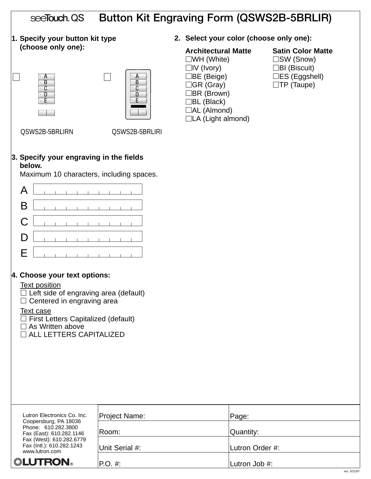| Button Kit Engraving Form (QSWS2B-5BRLIR)<br>seeTouch QS                                                                                                                                                                                                           |                                                                            |                                                                                                                                                                                                        |                                                                                                                  |  |  |  |  |
|--------------------------------------------------------------------------------------------------------------------------------------------------------------------------------------------------------------------------------------------------------------------|----------------------------------------------------------------------------|--------------------------------------------------------------------------------------------------------------------------------------------------------------------------------------------------------|------------------------------------------------------------------------------------------------------------------|--|--|--|--|
|                                                                                                                                                                                                                                                                    | 1. Specify your button kit type<br>2. Select your color (choose only one): |                                                                                                                                                                                                        |                                                                                                                  |  |  |  |  |
| (choose only one):<br>A<br>B<br>C<br>D<br>QSWS2B-5BRLIRN                                                                                                                                                                                                           | A<br>B<br>C<br>D<br>QSWS2B-5BRLIRI                                         | <b>Architectural Matte</b><br>$\square$ WH (White)<br>$\Box$ IV (Ivory)<br>$\Box$ BE (Beige)<br>$\Box$ GR (Gray)<br>$\Box$ BR (Brown)<br>$\Box$ BL (Black)<br>$\Box$ AL (Almond)<br>□LA (Light almond) | <b>Satin Color Matte</b><br>$\square$ SW (Snow)<br>$\Box$ BI (Biscuit)<br>□ES (Eggshell)<br>$\square$ TP (Taupe) |  |  |  |  |
| below.<br>Maximum 10 characters, including spaces.                                                                                                                                                                                                                 | 3. Specify your engraving in the fields                                    |                                                                                                                                                                                                        |                                                                                                                  |  |  |  |  |
| A<br>B                                                                                                                                                                                                                                                             |                                                                            |                                                                                                                                                                                                        |                                                                                                                  |  |  |  |  |
| C                                                                                                                                                                                                                                                                  |                                                                            |                                                                                                                                                                                                        |                                                                                                                  |  |  |  |  |
| D                                                                                                                                                                                                                                                                  |                                                                            |                                                                                                                                                                                                        |                                                                                                                  |  |  |  |  |
| Е                                                                                                                                                                                                                                                                  |                                                                            |                                                                                                                                                                                                        |                                                                                                                  |  |  |  |  |
| 4. Choose your text options:<br><b>Text position</b><br>$\Box$ Left side of engraving area (default)<br>$\Box$ Centered in engraving area<br><b>Text case</b><br>$\Box$ First Letters Capitalized (default)<br>As Written above<br><b>JALL LETTERS CAPITALIZED</b> |                                                                            |                                                                                                                                                                                                        |                                                                                                                  |  |  |  |  |
| Lutron Electronics Co. Inc.<br>Coopersburg, PA 18036                                                                                                                                                                                                               | Project Name:                                                              | Page:                                                                                                                                                                                                  |                                                                                                                  |  |  |  |  |
| Phone: 610.282.3800<br>Fax (East): 610.282.1146<br>Fax (West): 610.282.6779                                                                                                                                                                                        | Room:                                                                      | Quantity:                                                                                                                                                                                              |                                                                                                                  |  |  |  |  |
| Fax (Intl.): 610.282.1243<br>www.lutron.com                                                                                                                                                                                                                        | Unit Serial #:                                                             | Lutron Order #:                                                                                                                                                                                        |                                                                                                                  |  |  |  |  |
| ▒LUTRON。                                                                                                                                                                                                                                                           | P.O. #:                                                                    | Lutron Job #:                                                                                                                                                                                          |                                                                                                                  |  |  |  |  |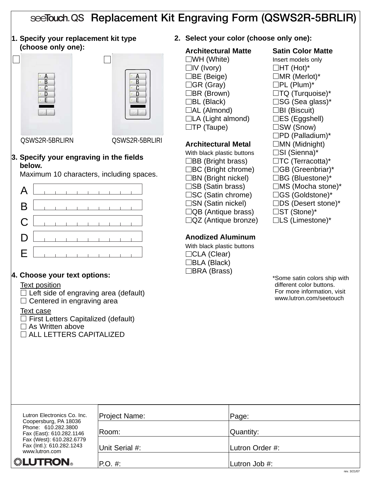# see Touch QS Replacement Kit Engraving Form (QSWS2R-5BRLIR)

**1. Specify your replacement kit type (choose only one):**





QSWS2R-5BRLIRN QSWS2R-5BRLIRI

#### **3. Specify your engraving in the fields below.**

Maximum 10 characters, including spaces.

|  |  |  |  |  | $A$ $\Box$                          |
|--|--|--|--|--|-------------------------------------|
|  |  |  |  |  |                                     |
|  |  |  |  |  |                                     |
|  |  |  |  |  | $D$                                 |
|  |  |  |  |  | $E$ and $E$ and $E$ and $E$ and $E$ |

# **4. Choose your text options:**

#### Text position

 $\Box$  Left side of engraving area (default)  $\Box$  Centered in engraving area

Text case

 $\Box$  First Letters Capitalized (default)  $\square$  As Written above ALL LETTERS CAPITALIZED

**2. Select your color (choose only one):**

### **Architectural Matte Satin Color Matte**

 $\square$ WH (White) **Insert models only**  $\Box$ IV (Ivory)  $\Box$ HT (Hot)\*  $\Box$ BE (Beige)  $\Box$ MR (Merlot)\*  $\Box$ GR (Gray)  $\Box$ PL (Plum)\*  $\Box$ BR (Brown)  $\Box$ TQ (Turquoise)\*  $\Box$ BL (Black)  $\Box$ SG (Sea glass)\*  $\Box$ AL (Almond)  $\Box$ BI (Biscuit)  $\Box$ LA (Light almond)  $\Box$ ES (Eggshell)

# **Architectural Metal MN** (Midnight)

With black plastic buttons  $\square$  SI (Sienna)\*  $\Box$ BB (Bright brass)  $\Box$ TC (Terracotta)\*  $\Box BC$  (Bright chrome)  $\Box GB$  (Greenbriar)\*  $\Box$ BN (Bright nickel)  $\Box$ BG (Bluestone)\*  $\square$ SB (Satin brass)  $\square$ MS (Mocha stone)\* □SC (Satin chrome) □GS (Goldstone)\*  $\square$ SN (Satin nickel)  $\square$ DS (Desert stone)\*  $\Box$ QB (Antique brass)  $\Box$ ST (Stone)\*  $\Box$ QZ (Antique bronze)  $\Box$ LS (Limestone)\*

# **Anodized Aluminum**

With black plastic buttons □CLA (Clear) BLA (Black) □BRA (Brass)

 $\square$ TP (Taupe)  $\square$ SW (Snow)  $\square$ PD (Palladium)\*

| Lutron Electronics Co. Inc.                                              | <b>Project Name:</b> | Page:           |
|--------------------------------------------------------------------------|----------------------|-----------------|
| Coopersburg, PA 18036<br>Phone: 610.282.3800<br>Fax (East): 610.282.1146 | Room:                | Quantity:       |
| Fax (West): 610.282.6779<br>Fax (Intl.): 610.282.1243<br>www.lutron.com  | Unit Serial #:       | Lutron Order #: |
| <b>. LUTRON</b>                                                          | $P.O. \#$            | Lutron Job #:   |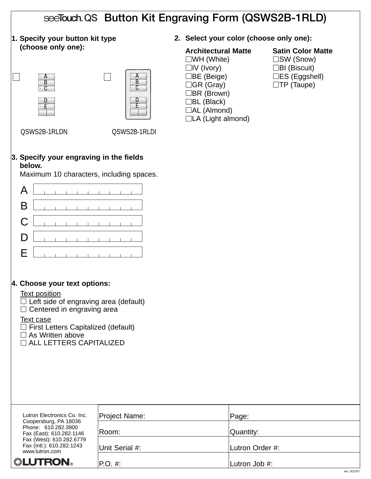|                                                                                                                                                                                                                                                            |                                  | see Touch QS Button Kit Engraving Form (QSWS2B-1RLD)                                                                                                                                                         |                                                                                                                        |
|------------------------------------------------------------------------------------------------------------------------------------------------------------------------------------------------------------------------------------------------------------|----------------------------------|--------------------------------------------------------------------------------------------------------------------------------------------------------------------------------------------------------------|------------------------------------------------------------------------------------------------------------------------|
| 1. Specify your button kit type                                                                                                                                                                                                                            |                                  | 2. Select your color (choose only one):                                                                                                                                                                      |                                                                                                                        |
| (choose only one):<br>$\mathsf{A}$<br>$\cdot$ B<br>$\cdot$ C<br>۰E<br>QSWS2B-1RLDN                                                                                                                                                                         | A<br>B<br>C<br>D<br>QSWS2B-1RLDI | <b>Architectural Matte</b><br>$\square$ WH (White)<br>$\Box$ IV (Ivory)<br>$\Box$ BE (Beige)<br>$\Box$ GR (Gray)<br>$\Box$ BR (Brown)<br>$\Box$ BL (Black)<br>$\Box$ AL (Almond)<br>$\Box$ LA (Light almond) | <b>Satin Color Matte</b><br>$\square$ SW (Snow)<br>$\Box$ BI (Biscuit)<br>$\Box$ ES (Eggshell)<br>$\square$ TP (Taupe) |
| 3. Specify your engraving in the fields<br>below.<br>Maximum 10 characters, including spaces.                                                                                                                                                              |                                  |                                                                                                                                                                                                              |                                                                                                                        |
| A<br>$\mathbf{1}$ and $\mathbf{1}$ and $\mathbf{1}$                                                                                                                                                                                                        |                                  |                                                                                                                                                                                                              |                                                                                                                        |
| B                                                                                                                                                                                                                                                          |                                  |                                                                                                                                                                                                              |                                                                                                                        |
| C                                                                                                                                                                                                                                                          |                                  |                                                                                                                                                                                                              |                                                                                                                        |
| D                                                                                                                                                                                                                                                          |                                  |                                                                                                                                                                                                              |                                                                                                                        |
| Е                                                                                                                                                                                                                                                          |                                  |                                                                                                                                                                                                              |                                                                                                                        |
| 4. Choose your text options:<br><b>Text position</b><br>$\Box$ Left side of engraving area (default)<br>Centered in engraving area<br>Text case<br>$\Box$ First Letters Capitalized (default)<br>$\Box$ As Written above<br>$\Box$ ALL LETTERS CAPITALIZED |                                  |                                                                                                                                                                                                              |                                                                                                                        |
| Lutron Electronics Co. Inc.                                                                                                                                                                                                                                | Project Name:                    | Page:                                                                                                                                                                                                        |                                                                                                                        |
| Coopersburg, PA 18036<br>Phone: 610.282.3800<br>Fax (East): 610.282.1146                                                                                                                                                                                   | Room:                            | Quantity:                                                                                                                                                                                                    |                                                                                                                        |
| Fax (West): 610.282.6779<br>Fax (Intl.): 610.282.1243<br>www.lutron.com                                                                                                                                                                                    | Unit Serial #:                   | Lutron Order #:                                                                                                                                                                                              |                                                                                                                        |
| ▒LUTRON。                                                                                                                                                                                                                                                   | $P.O. \#$                        | Lutron Job #:                                                                                                                                                                                                |                                                                                                                        |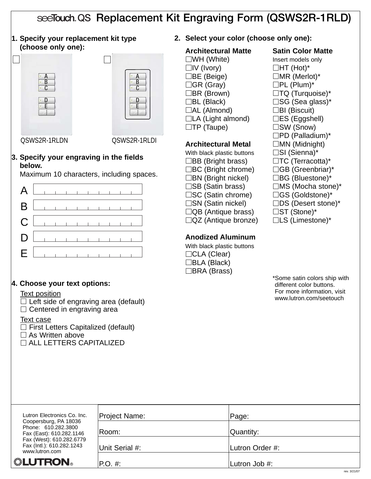# see Touch QS Replacement Kit Engraving Form (QSWS2R-1RLD)

**1. Specify your replacement kit type (choose only one):**





QSWS2R-1RLDN QSWS2R-1RLDI

#### **3. Specify your engraving in the fields below.**

Maximum 10 characters, including spaces.

|  |  |  |  |  | $A$ $\Box$                                                                                                                                                                                                                    |
|--|--|--|--|--|-------------------------------------------------------------------------------------------------------------------------------------------------------------------------------------------------------------------------------|
|  |  |  |  |  |                                                                                                                                                                                                                               |
|  |  |  |  |  |                                                                                                                                                                                                                               |
|  |  |  |  |  | $D$                                                                                                                                                                                                                           |
|  |  |  |  |  | $E$ and $E$ and $E$ and $E$ and $E$ and $E$ and $E$ and $E$ and $E$ and $E$ and $E$ and $E$ and $E$ and $E$ and $E$ and $E$ and $E$ and $E$ and $E$ and $E$ and $E$ and $E$ and $E$ and $E$ and $E$ and $E$ and $E$ and $E$ a |

# **4. Choose your text options:**

#### Text position

 $\Box$  Left side of engraving area (default)  $\Box$  Centered in engraving area

#### Text case

 $\Box$  First Letters Capitalized (default)  $\Box$  As Written above

ALL LETTERS CAPITALIZED

**2. Select your color (choose only one):**

# **Architectural Matte Satin Color Matte**

 $\square$ WH (White) **Insert models only**  $\Box$ IV (Ivory)  $\Box$ HT (Hot)\*  $\Box$ BE (Beige)  $\Box$ MR (Merlot)\*  $\Box$ GR (Gray)  $\Box$ PL (Plum)\*  $\Box$ BR (Brown)  $\Box$ TQ (Turquoise)\*  $\Box$ BL (Black)  $\Box$ SG (Sea glass)\*  $\Box$ AL (Almond)  $\Box$ BI (Biscuit)  $\Box$ LA (Light almond)  $\Box$ ES (Eggshell)  $\square$ TP (Taupe)  $\square$ SW (Snow)

# **Architectural Metal MN** (Midnight)

With black plastic buttons  $\square$  SI (Sienna)\*  $\Box$ BB (Bright brass)  $\Box$ TC (Terracotta)\*  $\Box BC$  (Bright chrome)  $\Box GB$  (Greenbriar)\*  $\Box$ BN (Bright nickel)  $\Box$ BG (Bluestone)\*  $\square$ SB (Satin brass)  $\square$ MS (Mocha stone)\* □SC (Satin chrome) □GS (Goldstone)\*  $\square$ SN (Satin nickel)  $\square$ DS (Desert stone)\*  $\Box$ QB (Antique brass)  $\Box$ ST (Stone)\*  $\Box$ QZ (Antique bronze)  $\Box$ LS (Limestone)\*

# **Anodized Aluminum**

With black plastic buttons □CLA (Clear) BLA (Black) □BRA (Brass)

 $\square$ PD (Palladium)\*

| Lutron Electronics Co. Inc.                                              | <b>Project Name:</b> | Page:           |
|--------------------------------------------------------------------------|----------------------|-----------------|
| Coopersburg, PA 18036<br>Phone: 610.282.3800<br>Fax (East): 610.282.1146 | Room:                | Quantity:       |
| Fax (West): 610.282.6779<br>Fax (Intl.): 610.282.1243<br>www.lutron.com  | Unit Serial #:       | Lutron Order #: |
| <b>. LUTRON</b>                                                          | $P.O. \#$            | Lutron Job #:   |
|                                                                          |                      |                 |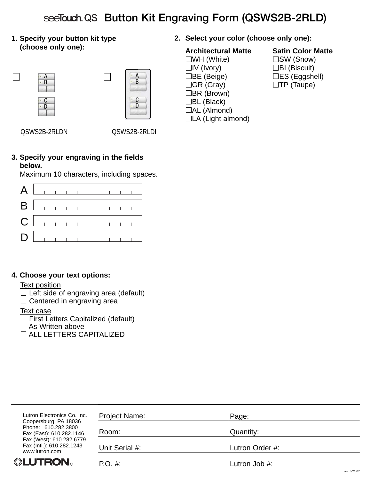| see Touch QS Button Kit Engraving Form (QSWS2B-2RLD)                                                                             |                                                                                                                                                                        |                                                                                                                                                                                                        |                                                                    |                                                  |  |  |
|----------------------------------------------------------------------------------------------------------------------------------|------------------------------------------------------------------------------------------------------------------------------------------------------------------------|--------------------------------------------------------------------------------------------------------------------------------------------------------------------------------------------------------|--------------------------------------------------------------------|--------------------------------------------------|--|--|
| 1. Specify your button kit type                                                                                                  |                                                                                                                                                                        |                                                                                                                                                                                                        | 2. Select your color (choose only one):                            |                                                  |  |  |
| (choose only one):<br>A<br>B                                                                                                     | B<br>C<br>D                                                                                                                                                            | <b>Architectural Matte</b><br>$\square$ WH (White)<br>$\Box$ IV (Ivory)<br>コBE (Beige)<br>$\Box$ GR (Gray)<br>$\Box$ BR (Brown)<br>$\Box$ BL (Black)<br>$\Box$ AL (Almond)<br>$\Box$ LA (Light almond) | $\square$ SW (Snow)<br>$\Box$ BI (Biscuit)<br>$\square$ TP (Taupe) | <b>Satin Color Matte</b><br>$\Box$ ES (Eggshell) |  |  |
| QSWS2B-2RLDN                                                                                                                     | QSWS2B-2RLDI                                                                                                                                                           |                                                                                                                                                                                                        |                                                                    |                                                  |  |  |
| below.<br>A<br>B<br>C<br>D<br>4. Choose your text options:                                                                       | 3. Specify your engraving in the fields<br>Maximum 10 characters, including spaces.<br>$\begin{array}{cccccccccccccc} & 1 & 1 & 1 & 1 & 1 & 1 & 1 & 1 & 1 \end{array}$ |                                                                                                                                                                                                        |                                                                    |                                                  |  |  |
| <b>Text position</b>                                                                                                             |                                                                                                                                                                        |                                                                                                                                                                                                        |                                                                    |                                                  |  |  |
| $\Box$ Left side of engraving area (default)<br>Centered in engraving area                                                       |                                                                                                                                                                        |                                                                                                                                                                                                        |                                                                    |                                                  |  |  |
| <b>Text case</b><br>$\Box$ First Letters Capitalized (default)<br>$\Box$ As Written above<br>$\sqsupset$ ALL LETTERS CAPITALIZED |                                                                                                                                                                        |                                                                                                                                                                                                        |                                                                    |                                                  |  |  |
|                                                                                                                                  |                                                                                                                                                                        |                                                                                                                                                                                                        |                                                                    |                                                  |  |  |
| Lutron Electronics Co. Inc.                                                                                                      | Project Name:                                                                                                                                                          |                                                                                                                                                                                                        | Page:                                                              |                                                  |  |  |
| Coopersburg, PA 18036<br>Phone: 610.282.3800                                                                                     | Room:                                                                                                                                                                  |                                                                                                                                                                                                        | Quantity:                                                          |                                                  |  |  |
| Fax (East): 610.282.1146<br>Fax (West): 610.282.6779<br>Fax (Intl.): 610.282.1243<br>www.lutron.com                              | Unit Serial #:                                                                                                                                                         |                                                                                                                                                                                                        | Lutron Order #:                                                    |                                                  |  |  |
| ▒LUTRON。                                                                                                                         | P.O. #:                                                                                                                                                                |                                                                                                                                                                                                        | Lutron Job #:                                                      |                                                  |  |  |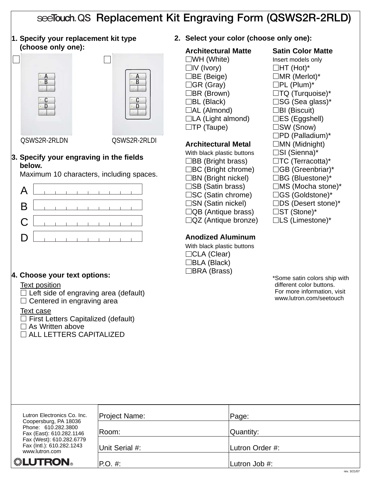# see Touch QS Replacement Kit Engraving Form (QSWS2R-2RLD)

**1. Specify your replacement kit type (choose only one):**





QSWS2R-2RLDN QSWS2R-2RLDI

#### **3. Specify your engraving in the fields below.**

Maximum 10 characters, including spaces.

|  |  |  |  |  | $A$ $\left[\begin{array}{ccc} 1 & 1 & 1 & 1 & 1 & 1 & 1 & 1 & 1 \end{array}\right]$ |
|--|--|--|--|--|-------------------------------------------------------------------------------------|
|  |  |  |  |  | $\mathsf{B}$ . The set of the set of $\mathsf{B}$                                   |
|  |  |  |  |  |                                                                                     |
|  |  |  |  |  | $D$                                                                                 |

# **4. Choose your text options:**

#### Text position

 $\Box$  Left side of engraving area (default)  $\Box$  Centered in engraving area

#### Text case

 $\Box$  First Letters Capitalized (default)  $\square$  As Written above ALL LETTERS CAPITALIZED

**2. Select your color (choose only one):**

# **Architectural Matte Satin Color Matte**

 $\square$ WH (White) **Insert models only**  $\Box$ IV (Ivory)  $\Box$ HT (Hot)\*  $\Box$ BE (Beige)  $\Box$ MR (Merlot)\*  $\Box$ GR (Gray)  $\Box$ PL (Plum)\*  $\Box$ BR (Brown)  $\Box$ TQ (Turquoise)\*  $\Box$ BL (Black)  $\Box$ SG (Sea glass)\*  $\Box$ AL (Almond)  $\Box$ BI (Biscuit)  $\Box$ LA (Light almond)  $\Box$ ES (Eggshell)

# **Architectural Metal MN** (Midnight)

With black plastic buttons  $\square$  SI (Sienna)\*  $\Box$ BB (Bright brass)  $\Box$ TC (Terracotta)\*  $\Box BC$  (Bright chrome)  $\Box GB$  (Greenbriar)\*  $\Box$ BN (Bright nickel)  $\Box$ BG (Bluestone)\*  $\square$ SB (Satin brass)  $\square$ MS (Mocha stone)\* □SC (Satin chrome) □GS (Goldstone)\*  $\square$ SN (Satin nickel)  $\square$ DS (Desert stone)\*  $\Box$ QB (Antique brass)  $\Box$ ST (Stone)\*  $\Box$ QZ (Antique bronze)  $\Box$ LS (Limestone)\*

# **Anodized Aluminum**

With black plastic buttons □CLA (Clear) BLA (Black) □BRA (Brass)

 $\square$ TP (Taupe)  $\square$ SW (Snow)  $\square$ PD (Palladium)\*

| Lutron Electronics Co. Inc.                                              | Project Name:  | Page:           |
|--------------------------------------------------------------------------|----------------|-----------------|
| Coopersburg, PA 18036<br>Phone: 610.282.3800<br>Fax (East): 610.282.1146 | ∣Room:         | Quantity:       |
| Fax (West): 610.282.6779<br>Fax (Intl.): 610.282.1243<br>www.lutron.com  | Unit Serial #: | Lutron Order #: |
| <b>. LUTRON</b>                                                          | $ P.O. \#:$    | Lutron Job #:   |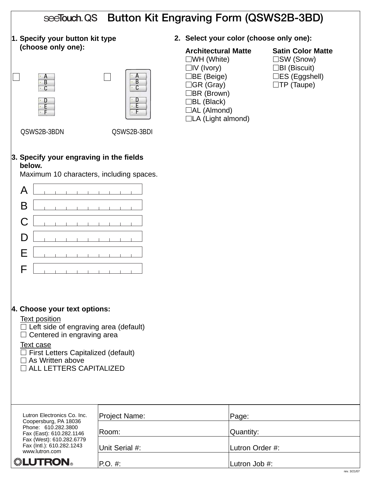|                                                                                                                                                                                                                                                                   |                               | see Touch QS Button Kit Engraving Form (QSWS2B-3BD)                                                                                                                                                    |                                                                                                         |
|-------------------------------------------------------------------------------------------------------------------------------------------------------------------------------------------------------------------------------------------------------------------|-------------------------------|--------------------------------------------------------------------------------------------------------------------------------------------------------------------------------------------------------|---------------------------------------------------------------------------------------------------------|
| 1. Specify your button kit type                                                                                                                                                                                                                                   |                               | 2. Select your color (choose only one):                                                                                                                                                                |                                                                                                         |
| (choose only one):<br>A<br>$\overline{B}$<br>C<br>β.<br>۰F                                                                                                                                                                                                        | B<br>C<br>D<br>E<br>$\cdot$ F | <b>Architectural Matte</b><br>$\square$ WH (White)<br>$\Box$ IV (Ivory)<br>∃BE (Beige)<br>$\Box$ GR (Gray)<br>$\Box$ BR (Brown)<br>$\Box$ BL (Black)<br>$\Box$ AL (Almond)<br>$\Box$ LA (Light almond) | <b>Satin Color Matte</b><br>□SW (Snow)<br>$\Box$ BI (Biscuit)<br>□ES (Eggshell)<br>$\square$ TP (Taupe) |
| QSWS2B-3BDN                                                                                                                                                                                                                                                       | QSWS2B-3BDI                   |                                                                                                                                                                                                        |                                                                                                         |
| 3. Specify your engraving in the fields<br>below.<br>Maximum 10 characters, including spaces.                                                                                                                                                                     |                               |                                                                                                                                                                                                        |                                                                                                         |
| A                                                                                                                                                                                                                                                                 |                               |                                                                                                                                                                                                        |                                                                                                         |
| B                                                                                                                                                                                                                                                                 |                               |                                                                                                                                                                                                        |                                                                                                         |
| C                                                                                                                                                                                                                                                                 |                               |                                                                                                                                                                                                        |                                                                                                         |
|                                                                                                                                                                                                                                                                   |                               |                                                                                                                                                                                                        |                                                                                                         |
| Е                                                                                                                                                                                                                                                                 |                               |                                                                                                                                                                                                        |                                                                                                         |
| F                                                                                                                                                                                                                                                                 |                               |                                                                                                                                                                                                        |                                                                                                         |
| 4. Choose your text options:<br><b>Text position</b><br>$\Box$ Left side of engraving area (default)<br>$\Box$ Centered in engraving area<br>Text case<br>$\Box$ First Letters Capitalized (default)<br>$\Box$ As Written above<br>$\Box$ ALL LETTERS CAPITALIZED |                               |                                                                                                                                                                                                        |                                                                                                         |
| Lutron Electronics Co. Inc.                                                                                                                                                                                                                                       | Project Name:                 | Page:                                                                                                                                                                                                  |                                                                                                         |
| Coopersburg, PA 18036<br>Phone: 610.282.3800<br>Fax (East): 610.282.1146                                                                                                                                                                                          | Room:                         | Quantity:                                                                                                                                                                                              |                                                                                                         |
| Fax (West): 610.282.6779<br>Fax (Intl.): 610.282.1243<br>www.lutron.com                                                                                                                                                                                           | Unit Serial #:                | Lutron Order #:                                                                                                                                                                                        |                                                                                                         |
| <b>"LUTRON</b>                                                                                                                                                                                                                                                    | P.O. #:                       | Lutron Job #:                                                                                                                                                                                          |                                                                                                         |